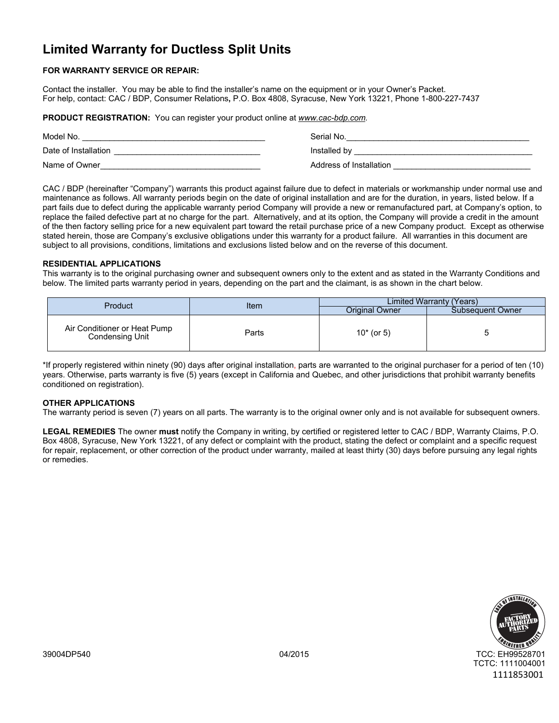# **Limited Warranty for Ductless Split Units**

# **FOR WARRANTY SERVICE OR REPAIR:**

Contact the installer. You may be able to find the installer's name on the equipment or in your Owner's Packet. For help, contact: CAC / BDP, Consumer Relations**,** P.O. Box 4808, Syracuse, New York 13221, Phone 1-800-227-7437

**PRODUCT REGISTRATION:** You can register your product online at *www.cac-bdp.com.*

| Model No.            | Serial No.              |
|----------------------|-------------------------|
| Date of Installation | Installed by            |
| Name of Owner        | Address of Installation |

CAC / BDP (hereinafter "Company") warrants this product against failure due to defect in materials or workmanship under normal use and maintenance as follows. All warranty periods begin on the date of original installation and are for the duration, in years, listed below. If a part fails due to defect during the applicable warranty period Company will provide a new or remanufactured part, at Company's option, to replace the failed defective part at no charge for the part. Alternatively, and at its option, the Company will provide a credit in the amount of the then factory selling price for a new equivalent part toward the retail purchase price of a new Company product. Except as otherwise stated herein, those are Company's exclusive obligations under this warranty for a product failure. All warranties in this document are subject to all provisions, conditions, limitations and exclusions listed below and on the reverse of this document.

# **RESIDENTIAL APPLICATIONS**

This warranty is to the original purchasing owner and subsequent owners only to the extent and as stated in the Warranty Conditions and below. The limited parts warranty period in years, depending on the part and the claimant, is as shown in the chart below.

| Product                                         | Item  | Limited Warranty (Years) |                  |
|-------------------------------------------------|-------|--------------------------|------------------|
|                                                 |       | Original Owner           | Subsequent Owner |
| Air Conditioner or Heat Pump<br>Condensing Unit | Parts | $10*$ (or 5)             |                  |

\*If properly registered within ninety (90) days after original installation, parts are warranted to the original purchaser for a period of ten (10) years. Otherwise, parts warranty is five (5) years (except in California and Quebec, and other jurisdictions that prohibit warranty benefits conditioned on registration).

# **OTHER APPLICATIONS**

The warranty period is seven (7) years on all parts. The warranty is to the original owner only and is not available for subsequent owners.

**LEGAL REMEDIES** The owner **must** notify the Company in writing, by certified or registered letter to CAC / BDP, Warranty Claims, P.O. Box 4808, Syracuse, New York 13221, of any defect or complaint with the product, stating the defect or complaint and a specific request for repair, replacement, or other correction of the product under warranty, mailed at least thirty (30) days before pursuing any legal rights or remedies.